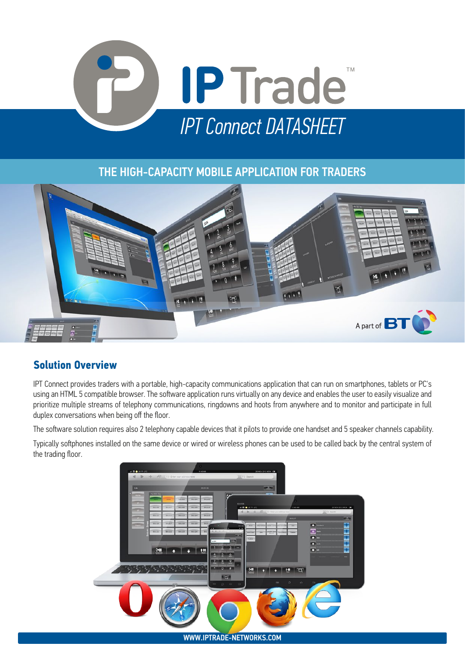

### THE HIGH-CAPACITY MOBILE APPLICATION FOR TRADERS



## **Solution Overview**

IPT Connect provides traders with a portable, high-capacity communications application that can run on smartphones, tablets or PC's using an HTML 5 compatible browser. The software application runs virtually on any device and enables the user to easily visualize and prioritize multiple streams of telephony communications, ringdowns and hoots from anywhere and to monitor and participate in full duplex conversations when being off the floor.

The software solution requires also 2 telephony capable devices that it pilots to provide one handset and 5 speaker channels capability.

Typically softphones installed on the same device or wired or wireless phones can be used to be called back by the central system of the trading floor.